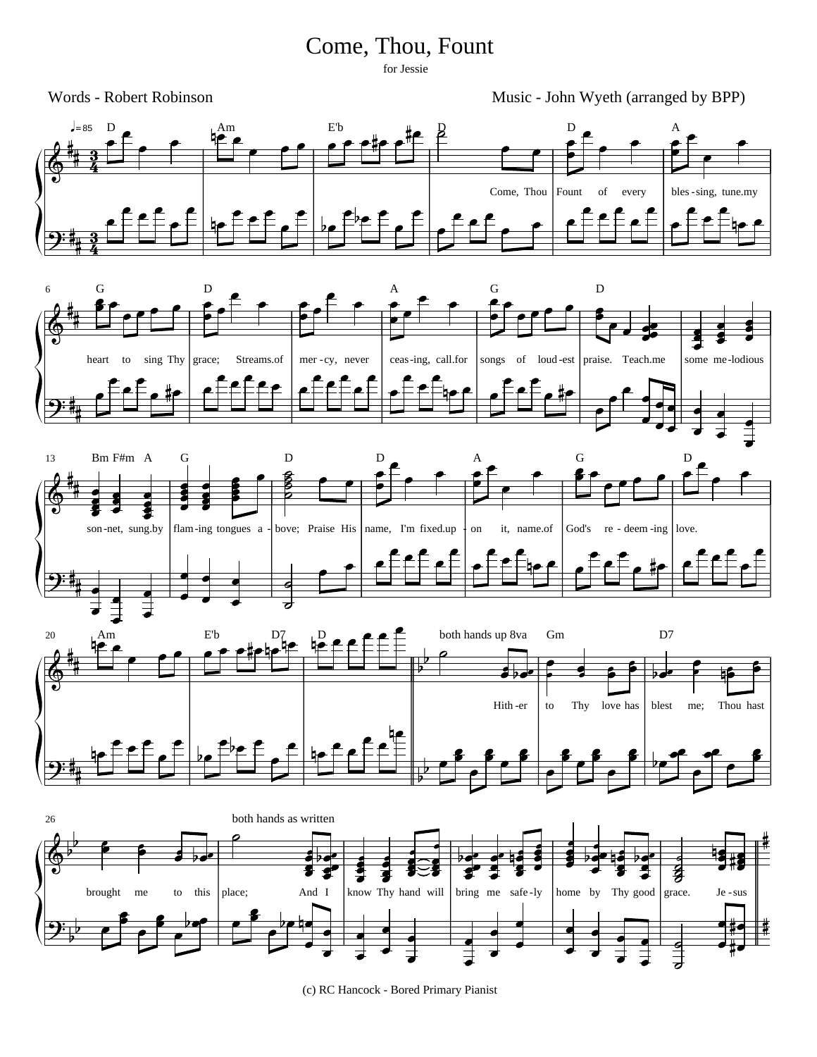## Come, Thou, Fount

for Jessie

Words - Robert Robinson Music - John Wyeth (arranged by BPP)









(c) RC Hancock - Bored Primary Pianist